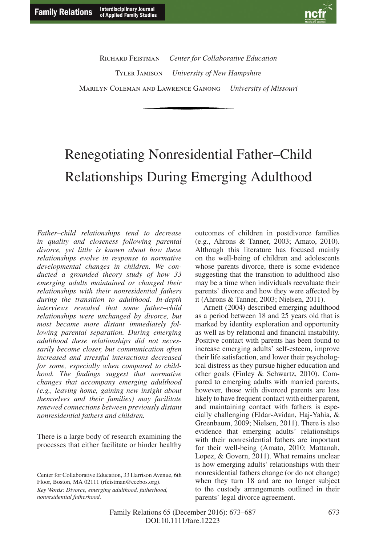

Richard Feistman *Center for Collaborative Education* Tyler Jamison *University of New Hampshire* Marilyn Coleman and Lawrence Ganong *University of Missouri*

# Renegotiating Nonresidential Father–Child Relationships During Emerging Adulthood

*Father–child relationships tend to decrease in quality and closeness following parental divorce, yet little is known about how these relationships evolve in response to normative developmental changes in children. We conducted a grounded theory study of how 33 emerging adults maintained or changed their relationships with their nonresidential fathers during the transition to adulthood. In-depth interviews revealed that some father–child relationships were unchanged by divorce, but most became more distant immediately following parental separation. During emerging adulthood these relationships did not necessarily become closer, but communication often increased and stressful interactions decreased for some, especially when compared to childhood. The findings suggest that normative changes that accompany emerging adulthood (e.g., leaving home, gaining new insight about themselves and their families) may facilitate renewed connections between previously distant nonresidential fathers and children.*

There is a large body of research examining the processes that either facilitate or hinder healthy outcomes of children in postdivorce families (e.g., Ahrons & Tanner, 2003; Amato, 2010). Although this literature has focused mainly on the well-being of children and adolescents whose parents divorce, there is some evidence suggesting that the transition to adulthood also may be a time when individuals reevaluate their parents' divorce and how they were affected by it (Ahrons & Tanner, 2003; Nielsen, 2011).

Arnett (2004) described emerging adulthood as a period between 18 and 25 years old that is marked by identity exploration and opportunity as well as by relational and financial instability. Positive contact with parents has been found to increase emerging adults' self-esteem, improve their life satisfaction, and lower their psychological distress as they pursue higher education and other goals (Finley & Schwartz, 2010). Compared to emerging adults with married parents, however, those with divorced parents are less likely to have frequent contact with either parent, and maintaining contact with fathers is especially challenging (Eldar-Avidan, Haj-Yahia, & Greenbaum, 2009; Nielsen, 2011). There is also evidence that emerging adults' relationships with their nonresidential fathers are important for their well-being (Amato, 2010; Mattanah, Lopez, & Govern, 2011). What remains unclear is how emerging adults' relationships with their nonresidential fathers change (or do not change) when they turn 18 and are no longer subject to the custody arrangements outlined in their parents' legal divorce agreement.

Center for Collaborative Education, 33 Harrison Avenue, 6th Floor, Boston, MA 02111 (rfeistman@ccebos.org). *Key Words: Divorce, emerging adulthood, fatherhood, nonresidential fatherhood.*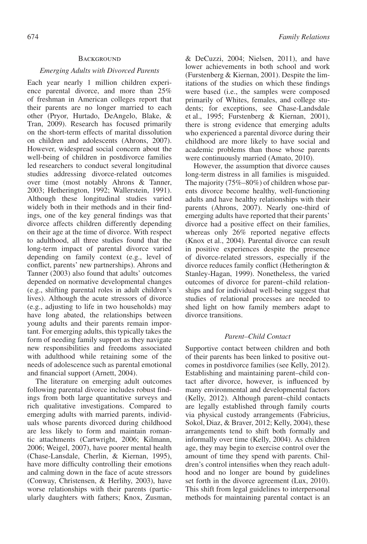## **BACKGROUND**

## *Emerging Adults with Divorced Parents*

Each year nearly 1 million children experience parental divorce, and more than 25% of freshman in American colleges report that their parents are no longer married to each other (Pryor, Hurtado, DeAngelo, Blake, & Tran, 2009). Research has focused primarily on the short-term effects of marital dissolution on children and adolescents (Ahrons, 2007). However, widespread social concern about the well-being of children in postdivorce families led researchers to conduct several longitudinal studies addressing divorce-related outcomes over time (most notably Ahrons & Tanner, 2003; Hetherington, 1992; Wallerstein, 1991). Although these longitudinal studies varied widely both in their methods and in their findings, one of the key general findings was that divorce affects children differently depending on their age at the time of divorce. With respect to adulthood, all three studies found that the long-term impact of parental divorce varied depending on family context (e.g., level of conflict, parents' new partnerships). Ahrons and Tanner (2003) also found that adults' outcomes depended on normative developmental changes (e.g., shifting parental roles in adult children's lives). Although the acute stressors of divorce (e.g., adjusting to life in two households) may have long abated, the relationships between young adults and their parents remain important. For emerging adults, this typically takes the form of needing family support as they navigate new responsibilities and freedoms associated with adulthood while retaining some of the needs of adolescence such as parental emotional and financial support (Arnett, 2004).

The literature on emerging adult outcomes following parental divorce includes robust findings from both large quantitative surveys and rich qualitative investigations. Compared to emerging adults with married parents, individuals whose parents divorced during childhood are less likely to form and maintain romantic attachments (Cartwright, 2006; Kilmann, 2006; Weigel, 2007), have poorer mental health (Chase-Lansdale, Cherlin, & Kiernan, 1995), have more difficulty controlling their emotions and calming down in the face of acute stressors (Conway, Christensen, & Herlihy, 2003), have worse relationships with their parents (particularly daughters with fathers; Knox, Zusman,

& DeCuzzi, 2004; Nielsen, 2011), and have lower achievements in both school and work (Furstenberg & Kiernan, 2001). Despite the limitations of the studies on which these findings were based (i.e., the samples were composed primarily of Whites, females, and college students; for exceptions, see Chase-Landsdale et al., 1995; Furstenberg & Kiernan, 2001), there is strong evidence that emerging adults who experienced a parental divorce during their childhood are more likely to have social and academic problems than those whose parents were continuously married (Amato, 2010).

However, the assumption that divorce causes long-term distress in all families is misguided. The majority (75%–80%) of children whose parents divorce become healthy, well-functioning adults and have healthy relationships with their parents (Ahrons, 2007). Nearly one-third of emerging adults have reported that their parents' divorce had a positive effect on their families, whereas only 26% reported negative effects (Knox et al., 2004). Parental divorce can result in positive experiences despite the presence of divorce-related stressors, especially if the divorce reduces family conflict (Hetherington & Stanley-Hagan, 1999). Nonetheless, the varied outcomes of divorce for parent–child relationships and for individual well-being suggest that studies of relational processes are needed to shed light on how family members adapt to divorce transitions.

# *Parent–Child Contact*

Supportive contact between children and both of their parents has been linked to positive outcomes in postdivorce families (see Kelly, 2012). Establishing and maintaining parent–child contact after divorce, however, is influenced by many environmental and developmental factors (Kelly, 2012). Although parent–child contacts are legally established through family courts via physical custody arrangements (Fabricius, Sokol, Diaz, & Braver, 2012; Kelly, 2004), these arrangements tend to shift both formally and informally over time (Kelly, 2004). As children age, they may begin to exercise control over the amount of time they spend with parents. Children's control intensifies when they reach adulthood and no longer are bound by guidelines set forth in the divorce agreement (Lux, 2010). This shift from legal guidelines to interpersonal methods for maintaining parental contact is an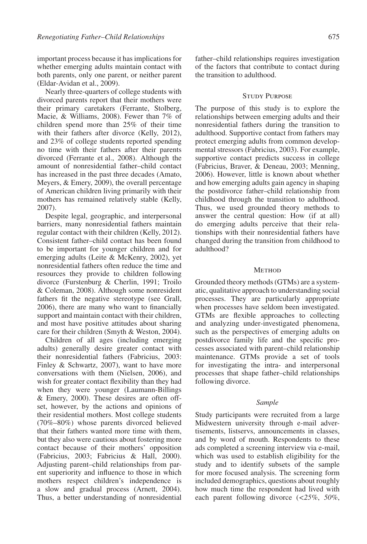important process because it has implications for whether emerging adults maintain contact with both parents, only one parent, or neither parent (Eldar-Avidan et al., 2009).

Nearly three-quarters of college students with divorced parents report that their mothers were their primary caretakers (Ferrante, Stolberg, Macie, & Williams, 2008). Fewer than 7% of children spend more than 25% of their time with their fathers after divorce (Kelly, 2012), and 23% of college students reported spending no time with their fathers after their parents divorced (Ferrante et al., 2008). Although the amount of nonresidential father–child contact has increased in the past three decades (Amato, Meyers, & Emery, 2009), the overall percentage of American children living primarily with their mothers has remained relatively stable (Kelly, 2007).

Despite legal, geographic, and interpersonal barriers, many nonresidential fathers maintain regular contact with their children (Kelly, 2012). Consistent father–child contact has been found to be important for younger children and for emerging adults (Leite & McKenry, 2002), yet nonresidential fathers often reduce the time and resources they provide to children following divorce (Furstenburg & Cherlin, 1991; Troilo & Coleman, 2008). Although some nonresident fathers fit the negative stereotype (see Grall, 2006), there are many who want to financially support and maintain contact with their children, and most have positive attitudes about sharing care for their children (Smyth & Weston, 2004).

Children of all ages (including emerging adults) generally desire greater contact with their nonresidential fathers (Fabricius, 2003: Finley & Schwartz, 2007), want to have more conversations with them (Nielsen, 2006), and wish for greater contact flexibility than they had when they were younger (Laumann-Billings & Emery, 2000). These desires are often offset, however, by the actions and opinions of their residential mothers. Most college students (70%–80%) whose parents divorced believed that their fathers wanted more time with them, but they also were cautious about fostering more contact because of their mothers' opposition (Fabricius, 2003; Fabricius & Hall, 2000). Adjusting parent–child relationships from parent superiority and influence to those in which mothers respect children's independence is a slow and gradual process (Arnett, 2004). Thus, a better understanding of nonresidential

father–child relationships requires investigation of the factors that contribute to contact during the transition to adulthood.

# **STUDY PURPOSE**

The purpose of this study is to explore the relationships between emerging adults and their nonresidential fathers during the transition to adulthood. Supportive contact from fathers may protect emerging adults from common developmental stressors (Fabricius, 2003). For example, supportive contact predicts success in college (Fabricius, Braver, & Deneau, 2003; Menning, 2006). However, little is known about whether and how emerging adults gain agency in shaping the postdivorce father–child relationship from childhood through the transition to adulthood. Thus, we used grounded theory methods to answer the central question: How (if at all) do emerging adults perceive that their relationships with their nonresidential fathers have changed during the transition from childhood to adulthood?

#### **METHOD**

Grounded theory methods (GTMs) are a systematic, qualitative approach to understanding social processes. They are particularly appropriate when processes have seldom been investigated. GTMs are flexible approaches to collecting and analyzing under-investigated phenomena, such as the perspectives of emerging adults on postdivorce family life and the specific processes associated with parent–child relationship maintenance. GTMs provide a set of tools for investigating the intra- and interpersonal processes that shape father–child relationships following divorce.

# *Sample*

Study participants were recruited from a large Midwestern university through e-mail advertisements, listservs, announcements in classes, and by word of mouth. Respondents to these ads completed a screening interview via e-mail, which was used to establish eligibility for the study and to identify subsets of the sample for more focused analysis. The screening form included demographics, questions about roughly how much time the respondent had lived with each parent following divorce (*<25%*, *50%*,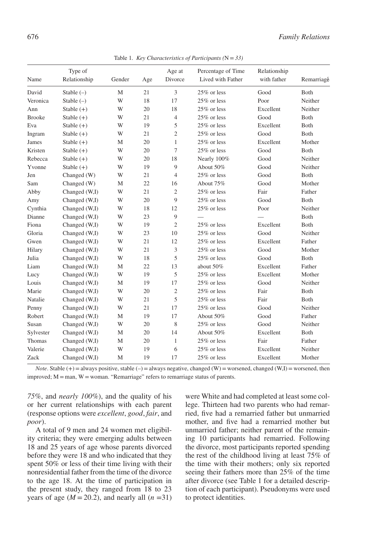|               | Type of<br>Relationship | Gender      | Age | Age at<br>Divorce | Percentage of Time<br>Lived with Father | Relationship<br>with father | Remarriage |
|---------------|-------------------------|-------------|-----|-------------------|-----------------------------------------|-----------------------------|------------|
| Name          |                         |             |     |                   |                                         |                             |            |
| David         | Stable $(-)$            | $\mathbf M$ | 21  | 3                 | 25% or less                             | Good                        | Both       |
| Veronica      | Stable $(-)$            | W           | 18  | 17                | 25% or less                             | Poor                        | Neither    |
| Ann           | Stable $(+)$            | W           | 20  | 18                | 25% or less                             | Excellent                   | Neither    |
| <b>Brooke</b> | Stable $(+)$            | W           | 21  | $\overline{4}$    | 25% or less                             | Good                        | Both       |
| Eva           | Stable $(+)$            | W           | 19  | 5                 | 25% or less                             | Excellent                   | Both       |
| Ingram        | Stable $(+)$            | W           | 21  | $\mathfrak{2}$    | 25% or less                             | Good                        | Both       |
| James         | Stable $(+)$            | M           | 20  | $\mathbf{1}$      | 25% or less                             | Excellent                   | Mother     |
| Kristen       | Stable $(+)$            | W           | 20  | 7                 | 25% or less                             | Good                        | Both       |
| Rebecca       | Stable $(+)$            | W           | 20  | 18                | Nearly 100%                             | Good                        | Neither    |
| Yvonne        | Stable $(+)$            | W           | 19  | 9                 | About 50%                               | Good                        | Neither    |
| Jen           | Changed (W)             | W           | 21  | $\overline{4}$    | $25\%$ or less                          | Good                        | Both       |
| Sam           | Changed (W)             | $\mathbf M$ | 22  | 16                | About 75%                               | Good                        | Mother     |
| Abby          | Changed (W,I)           | W           | 21  | $\mathfrak{2}$    | 25% or less                             | Fair                        | Father     |
| Amy           | Changed (W,I)           | W           | 20  | 9                 | 25% or less                             | Good                        | Both       |
| Cynthia       | Changed (W,I)           | W           | 18  | 12                | 25% or less                             | Poor                        | Neither    |
| Dianne        | Changed (W,I)           | W           | 23  | 9                 |                                         |                             | Both       |
| Fiona         | Changed (W,I)           | W           | 19  | $\overline{2}$    | 25% or less                             | Excellent                   | Both       |
| Gloria        | Changed (W,I)           | W           | 23  | 10                | 25% or less                             | Good                        | Neither    |
| Gwen          | Changed (W,I)           | W           | 21  | 12                | 25% or less                             | Excellent                   | Father     |
| Hilary        | Changed (W,I)           | W           | 21  | 3                 | 25% or less                             | Good                        | Mother     |
| Julia         | Changed (W,I)           | W           | 18  | 5                 | 25% or less                             | Good                        | Both       |
| Liam          | Changed (W,I)           | M           | 22  | 13                | about 50%                               | Excellent                   | Father     |
| Lucy          | Changed (W,I)           | W           | 19  | 5                 | 25% or less                             | Excellent                   | Mother     |
| Louis         | Changed (W,I)           | $\mathbf M$ | 19  | 17                | 25% or less                             | Good                        | Neither    |
| Marie         | Changed (W,I)           | W           | 20  | $\overline{c}$    | 25% or less                             | Fair                        | Both       |
| Natalie       | Changed (W,I)           | W           | 21  | 5                 | $25\%$ or less                          | Fair                        | Both       |
| Penny         | Changed (W,I)           | W           | 21  | 17                | 25% or less                             | Good                        | Neither    |
| Robert        | Changed (W,I)           | $\mathbf M$ | 19  | 17                | About 50%                               | Good                        | Father     |
| Susan         | Changed (W,I)           | W           | 20  | 8                 | 25% or less                             | Good                        | Neither    |
| Sylvester     | Changed (W,I)           | M           | 20  | 14                | About 50%                               | Excellent                   | Both       |
| Thomas        | Changed (W,I)           | $\mathbf M$ | 20  | $\mathbf{1}$      | 25% or less                             | Fair                        | Father     |
| Valerie       | Changed (W,I)           | W           | 19  | 6                 | 25% or less                             | Excellent                   | Neither    |
| Zack          | Changed (W,I)           | M           | 19  | 17                | 25% or less                             | Excellent                   | Mother     |

Table 1*. Key Characteristics of Participants (*N =*33)*

*Note*. Stable (+) = always positive, stable (-) = always negative, changed (W) = worsened, changed (W,I) = worsened, then improved;  $M =$ man,  $W =$ woman. "Remarriage" refers to remarriage status of parents.

*75%*, and *nearly 100%*), and the quality of his or her current relationships with each parent (response options were *excellent*, *good*, *fair*, and *poor*).

A total of 9 men and 24 women met eligibility criteria; they were emerging adults between 18 and 25 years of age whose parents divorced before they were 18 and who indicated that they spent 50% or less of their time living with their nonresidential father from the time of the divorce to the age 18. At the time of participation in the present study, they ranged from 18 to 23 years of age  $(M = 20.2)$ , and nearly all  $(n = 31)$ 

were White and had completed at least some college. Thirteen had two parents who had remarried, five had a remarried father but unmarried mother, and five had a remarried mother but unmarried father; neither parent of the remaining 10 participants had remarried. Following the divorce, most participants reported spending the rest of the childhood living at least 75% of the time with their mothers; only six reported seeing their fathers more than 25% of the time after divorce (see Table 1 for a detailed description of each participant). Pseudonyms were used to protect identities.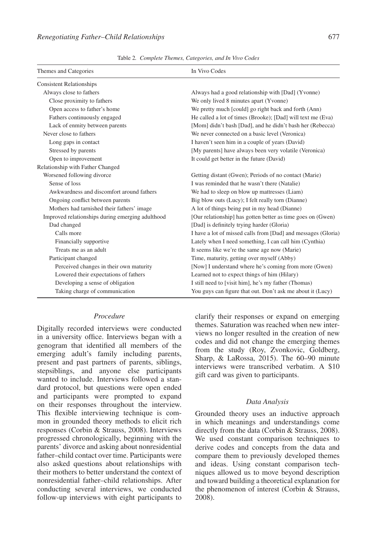| Themes and Categories                            | In Vivo Codes                                                 |  |  |  |
|--------------------------------------------------|---------------------------------------------------------------|--|--|--|
| <b>Consistent Relationships</b>                  |                                                               |  |  |  |
| Always close to fathers                          | Always had a good relationship with [Dad] (Yvonne)            |  |  |  |
| Close proximity to fathers                       | We only lived 8 minutes apart (Yvonne)                        |  |  |  |
| Open access to father's home                     | We pretty much [could] go right back and forth (Ann)          |  |  |  |
| Fathers continuously engaged                     | He called a lot of times (Brooke); [Dad] will text me (Eva)   |  |  |  |
| Lack of enmity between parents                   | [Mom] didn't bash [Dad], and he didn't bash her (Rebecca)     |  |  |  |
| Never close to fathers                           | We never connected on a basic level (Veronica)                |  |  |  |
| Long gaps in contact                             | I haven't seen him in a couple of years (David)               |  |  |  |
| Stressed by parents                              | [My parents] have always been very volatile (Veronica)        |  |  |  |
| Open to improvement                              | It could get better in the future (David)                     |  |  |  |
| Relationship with Father Changed                 |                                                               |  |  |  |
| Worsened following divorce                       | Getting distant (Gwen); Periods of no contact (Marie)         |  |  |  |
| Sense of loss                                    | I was reminded that he wasn't there (Natalie)                 |  |  |  |
| Awkwardness and discomfort around fathers        | We had to sleep on blow up mattresses (Liam)                  |  |  |  |
| Ongoing conflict between parents                 | Big blow outs (Lucy); I felt really torn (Dianne)             |  |  |  |
| Mothers had tarnished their fathers' image       | A lot of things being put in my head (Dianne)                 |  |  |  |
| Improved relationships during emerging adulthood | [Our relationship] has gotten better as time goes on (Gwen)   |  |  |  |
| Dad changed                                      | [Dad] is definitely trying harder (Gloria)                    |  |  |  |
| Calls more                                       | I have a lot of missed calls from [Dad] and messages (Gloria) |  |  |  |
| Financially supportive                           | Lately when I need something, I can call him (Cynthia)        |  |  |  |
| Treats me as an adult                            | It seems like we're the same age now (Marie)                  |  |  |  |
| Participant changed                              | Time, maturity, getting over myself (Abby)                    |  |  |  |
| Perceived changes in their own maturity          | [Now] I understand where he's coming from more (Gwen)         |  |  |  |
| Lowered their expectations of fathers            | Learned not to expect things of him (Hilary)                  |  |  |  |
| Developing a sense of obligation                 | I still need to [visit him], he's my father (Thomas)          |  |  |  |
| Taking charge of communication                   | You guys can figure that out. Don't ask me about it (Lucy)    |  |  |  |
|                                                  |                                                               |  |  |  |

Table 2*. Complete Themes, Categories, and In Vivo Codes*

## *Procedure*

Digitally recorded interviews were conducted in a university office. Interviews began with a genogram that identified all members of the emerging adult's family including parents, present and past partners of parents, siblings, stepsiblings, and anyone else participants wanted to include. Interviews followed a standard protocol, but questions were open ended and participants were prompted to expand on their responses throughout the interview. This flexible interviewing technique is common in grounded theory methods to elicit rich responses (Corbin & Strauss, 2008). Interviews progressed chronologically, beginning with the parents' divorce and asking about nonresidential father–child contact over time. Participants were also asked questions about relationships with their mothers to better understand the context of nonresidential father–child relationships. After conducting several interviews, we conducted follow-up interviews with eight participants to clarify their responses or expand on emerging themes. Saturation was reached when new interviews no longer resulted in the creation of new codes and did not change the emerging themes from the study (Roy, Zvonkovic, Goldberg, Sharp, & LaRossa, 2015). The 60–90 minute interviews were transcribed verbatim. A \$10 gift card was given to participants.

## *Data Analysis*

Grounded theory uses an inductive approach in which meanings and understandings come directly from the data (Corbin & Strauss, 2008). We used constant comparison techniques to derive codes and concepts from the data and compare them to previously developed themes and ideas. Using constant comparison techniques allowed us to move beyond description and toward building a theoretical explanation for the phenomenon of interest (Corbin & Strauss, 2008).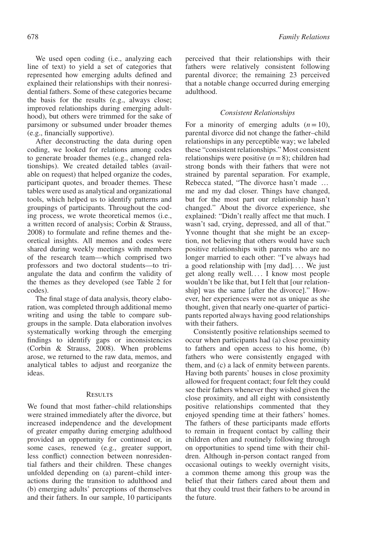We used open coding (i.e., analyzing each line of text) to yield a set of categories that represented how emerging adults defined and explained their relationships with their nonresidential fathers. Some of these categories became the basis for the results (e.g., always close; improved relationships during emerging adulthood), but others were trimmed for the sake of parsimony or subsumed under broader themes (e.g., financially supportive).

After deconstructing the data during open coding, we looked for relations among codes to generate broader themes (e.g., changed relationships). We created detailed tables (available on request) that helped organize the codes, participant quotes, and broader themes. These tables were used as analytical and organizational tools, which helped us to identify patterns and groupings of participants. Throughout the coding process, we wrote theoretical memos (i.e., a written record of analysis; Corbin & Strauss, 2008) to formulate and refine themes and theoretical insights. All memos and codes were shared during weekly meetings with members of the research team—which comprised two professors and two doctoral students—to triangulate the data and confirm the validity of the themes as they developed (see Table 2 for codes).

The final stage of data analysis, theory elaboration, was completed through additional memo writing and using the table to compare subgroups in the sample. Data elaboration involves systematically working through the emerging findings to identify gaps or inconsistencies (Corbin & Strauss, 2008). When problems arose, we returned to the raw data, memos, and analytical tables to adjust and reorganize the ideas.

# **RESULTS**

We found that most father–child relationships were strained immediately after the divorce, but increased independence and the development of greater empathy during emerging adulthood provided an opportunity for continued or, in some cases, renewed (e.g., greater support, less conflict) connection between nonresidential fathers and their children. These changes unfolded depending on (a) parent–child interactions during the transition to adulthood and (b) emerging adults' perceptions of themselves and their fathers. In our sample, 10 participants perceived that their relationships with their fathers were relatively consistent following parental divorce; the remaining 23 perceived that a notable change occurred during emerging adulthood.

# *Consistent Relationships*

For a minority of emerging adults  $(n=10)$ , parental divorce did not change the father–child relationships in any perceptible way; we labeled these "consistent relationships." Most consistent relationships were positive  $(n=8)$ ; children had strong bonds with their fathers that were not strained by parental separation. For example, Rebecca stated, "The divorce hasn't made … me and my dad closer. Things have changed, but for the most part our relationship hasn't changed." About the divorce experience, she explained: "Didn't really affect me that much. I wasn't sad, crying, depressed, and all of that." Yvonne thought that she might be an exception, not believing that others would have such positive relationships with parents who are no longer married to each other: "I've always had a good relationship with  $[my \text{ dad}]$ .... We just get along really well. . . . I know most people wouldn't be like that, but I felt that [our relationship] was the same [after the divorce]." However, her experiences were not as unique as she thought, given that nearly one-quarter of participants reported always having good relationships with their fathers.

Consistently positive relationships seemed to occur when participants had (a) close proximity to fathers and open access to his home, (b) fathers who were consistently engaged with them, and (c) a lack of enmity between parents. Having both parents' houses in close proximity allowed for frequent contact; four felt they could see their fathers whenever they wished given the close proximity, and all eight with consistently positive relationships commented that they enjoyed spending time at their fathers' homes. The fathers of these participants made efforts to remain in frequent contact by calling their children often and routinely following through on opportunities to spend time with their children. Although in-person contact ranged from occasional outings to weekly overnight visits, a common theme among this group was the belief that their fathers cared about them and that they could trust their fathers to be around in the future.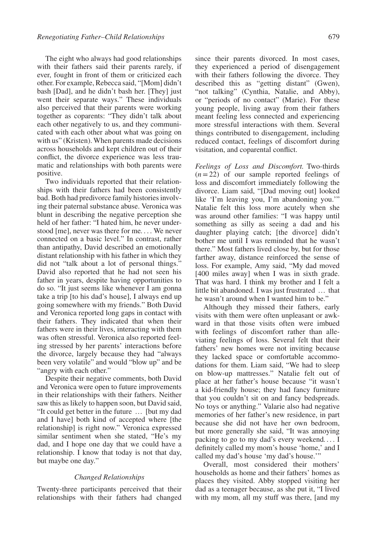The eight who always had good relationships with their fathers said their parents rarely, if ever, fought in front of them or criticized each other. For example, Rebecca said, "[Mom] didn't bash [Dad], and he didn't bash her. [They] just went their separate ways." These individuals also perceived that their parents were working together as coparents: "They didn't talk about each other negatively to us, and they communicated with each other about what was going on with us" (Kristen). When parents made decisions across households and kept children out of their conflict, the divorce experience was less traumatic and relationships with both parents were positive.

Two individuals reported that their relationships with their fathers had been consistently bad. Both had predivorce family histories involving their paternal substance abuse. Veronica was blunt in describing the negative perception she held of her father: "I hated him, he never understood [me], never was there for me. . . . We never connected on a basic level." In contrast, rather than antipathy, David described an emotionally distant relationship with his father in which they did not "talk about a lot of personal things." David also reported that he had not seen his father in years, despite having opportunities to do so. "It just seems like whenever I am gonna take a trip [to his dad's house], I always end up going somewhere with my friends." Both David and Veronica reported long gaps in contact with their fathers. They indicated that when their fathers were in their lives, interacting with them was often stressful. Veronica also reported feeling stressed by her parents' interactions before the divorce, largely because they had "always been very volatile" and would "blow up" and be "angry with each other."

Despite their negative comments, both David and Veronica were open to future improvements in their relationships with their fathers. Neither saw this as likely to happen soon, but David said, "It could get better in the future … [but my dad and I have] both kind of accepted where [the relationship] is right now." Veronica expressed similar sentiment when she stated, "He's my dad, and I hope one day that we could have a relationship. I know that today is not that day, but maybe one day."

# *Changed Relationships*

Twenty-three participants perceived that their relationships with their fathers had changed

since their parents divorced. In most cases, they experienced a period of disengagement with their fathers following the divorce. They described this as "getting distant" (Gwen), "not talking" (Cynthia, Natalie, and Abby), or "periods of no contact" (Marie). For these young people, living away from their fathers meant feeling less connected and experiencing more stressful interactions with them. Several things contributed to disengagement, including reduced contact, feelings of discomfort during visitation, and coparental conflict.

*Feelings of Loss and Discomfort.* Two-thirds (*n*=22) of our sample reported feelings of loss and discomfort immediately following the divorce. Liam said, "[Dad moving out] looked like 'I'm leaving you, I'm abandoning you.'" Natalie felt this loss more acutely when she was around other families: "I was happy until something as silly as seeing a dad and his daughter playing catch; [the divorce] didn't bother me until I was reminded that he wasn't there." Most fathers lived close by, but for those farther away, distance reinforced the sense of loss. For example, Amy said, "My dad moved [400 miles away] when I was in sixth grade. That was hard. I think my brother and I felt a little bit abandoned. I was just frustrated … that he wasn't around when I wanted him to be."

Although they missed their fathers, early visits with them were often unpleasant or awkward in that those visits often were imbued with feelings of discomfort rather than alleviating feelings of loss. Several felt that their fathers' new homes were not inviting because they lacked space or comfortable accommodations for them. Liam said, "We had to sleep on blow-up mattresses." Natalie felt out of place at her father's house because "it wasn't a kid-friendly house; they had fancy furniture that you couldn't sit on and fancy bedspreads. No toys or anything." Valarie also had negative memories of her father's new residence, in part because she did not have her own bedroom, but more generally she said, "It was annoying packing to go to my dad's every weekend.... I definitely called my mom's house 'home,' and I called my dad's house 'my dad's house.'"

Overall, most considered their mothers' households as home and their fathers' homes as places they visited. Abby stopped visiting her dad as a teenager because, as she put it, "I lived with my mom, all my stuff was there, [and my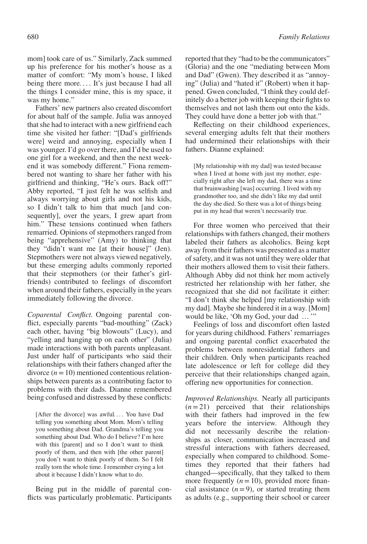mom] took care of us." Similarly, Zack summed up his preference for his mother's house as a matter of comfort: "My mom's house, I liked being there more.... It's just because I had all the things I consider mine, this is my space, it was my home."

Fathers' new partners also created discomfort for about half of the sample. Julia was annoyed that she had to interact with a new girlfriend each time she visited her father: "[Dad's girlfriends were] weird and annoying, especially when I was younger. I'd go over there, and I'd be used to one girl for a weekend, and then the next weekend it was somebody different." Fiona remembered not wanting to share her father with his girlfriend and thinking, "He's ours. Back off!" Abby reported, "I just felt he was selfish and always worrying about girls and not his kids, so I didn't talk to him that much [and consequently], over the years, I grew apart from him." These tensions continued when fathers remarried. Opinions of stepmothers ranged from being "apprehensive" (Amy) to thinking that they "didn't want me [at their house]" (Jen). Stepmothers were not always viewed negatively, but these emerging adults commonly reported that their stepmothers (or their father's girlfriends) contributed to feelings of discomfort when around their fathers, especially in the years immediately following the divorce.

*Coparental Conflict.* Ongoing parental conflict, especially parents "bad-mouthing" (Zack) each other, having "big blowouts" (Lucy), and "yelling and hanging up on each other" (Julia) made interactions with both parents unpleasant. Just under half of participants who said their relationships with their fathers changed after the divorce  $(n = 10)$  mentioned contentious relationships between parents as a contributing factor to problems with their dads. Dianne remembered being confused and distressed by these conflicts:

[After the divorce] was awful.... You have Dad telling you something about Mom. Mom's telling you something about Dad. Grandma's telling you something about Dad. Who do I believe? I'm here with this [parent] and so I don't want to think poorly of them, and then with [the other parent] you don't want to think poorly of them. So I felt really torn the whole time. I remember crying a lot about it because I didn't know what to do.

Being put in the middle of parental conflicts was particularly problematic. Participants reported that they "had to be the communicators" (Gloria) and the one "mediating between Mom and Dad" (Gwen). They described it as "annoying" (Julia) and "hated it" (Robert) when it happened. Gwen concluded, "I think they could definitely do a better job with keeping their fights to themselves and not lash them out onto the kids. They could have done a better job with that."

Reflecting on their childhood experiences, several emerging adults felt that their mothers had undermined their relationships with their fathers. Dianne explained:

[My relationship with my dad] was tested because when I lived at home with just my mother, especially right after she left my dad, there was a time that brainwashing [was] occurring. I lived with my grandmother too, and she didn't like my dad until the day she died. So there was a lot of things being put in my head that weren't necessarily true.

For three women who perceived that their relationships with fathers changed, their mothers labeled their fathers as alcoholics. Being kept away from their fathers was presented as a matter of safety, and it was not until they were older that their mothers allowed them to visit their fathers. Although Abby did not think her mom actively restricted her relationship with her father, she recognized that she did not facilitate it either: "I don't think she helped [my relationship with my dad]. Maybe she hindered it in a way. [Mom] would be like, 'Oh my God, your dad ... "

Feelings of loss and discomfort often lasted for years during childhood. Fathers' remarriages and ongoing parental conflict exacerbated the problems between nonresidential fathers and their children. Only when participants reached late adolescence or left for college did they perceive that their relationships changed again, offering new opportunities for connection.

*Improved Relationships.* Nearly all participants  $(n=21)$  perceived that their relationships with their fathers had improved in the few years before the interview. Although they did not necessarily describe the relationships as closer, communication increased and stressful interactions with fathers decreased, especially when compared to childhood. Sometimes they reported that their fathers had changed—specifically, that they talked to them more frequently  $(n=10)$ , provided more financial assistance  $(n=9)$ , or started treating them as adults (e.g., supporting their school or career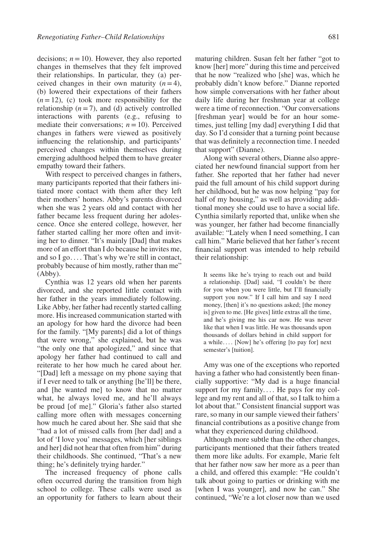decisions;  $n = 10$ ). However, they also reported changes in themselves that they felt improved their relationships. In particular, they (a) perceived changes in their own maturity  $(n=4)$ , (b) lowered their expectations of their fathers  $(n=12)$ , (c) took more responsibility for the relationship  $(n=7)$ , and (d) actively controlled interactions with parents (e.g., refusing to mediate their conversations;  $n = 10$ ). Perceived changes in fathers were viewed as positively influencing the relationship, and participants' perceived changes within themselves during emerging adulthood helped them to have greater empathy toward their fathers.

With respect to perceived changes in fathers, many participants reported that their fathers initiated more contact with them after they left their mothers' homes. Abby's parents divorced when she was 2 years old and contact with her father became less frequent during her adolescence. Once she entered college, however, her father started calling her more often and inviting her to dinner. "It's mainly [Dad] that makes more of an effort than I do because he invites me, and so I go. . . . That's why we're still in contact, probably because of him mostly, rather than me" (Abby).

Cynthia was 12 years old when her parents divorced, and she reported little contact with her father in the years immediately following. Like Abby, her father had recently started calling more. His increased communication started with an apology for how hard the divorce had been for the family. "[My parents] did a lot of things that were wrong," she explained, but he was "the only one that apologized," and since that apology her father had continued to call and reiterate to her how much he cared about her. "[Dad] left a message on my phone saying that if I ever need to talk or anything [he'll] be there, and [he wanted me] to know that no matter what, he always loved me, and he'll always be proud [of me]." Gloria's father also started calling more often with messages concerning how much he cared about her. She said that she "had a lot of missed calls from [her dad] and a lot of 'I love you' messages, which [her siblings and her] did not hear that often from him" during their childhoods. She continued, "That's a new thing; he's definitely trying harder."

The increased frequency of phone calls often occurred during the transition from high school to college. These calls were used as an opportunity for fathers to learn about their maturing children. Susan felt her father "got to know [her] more" during this time and perceived that he now "realized who [she] was, which he probably didn't know before." Dianne reported how simple conversations with her father about daily life during her freshman year at college were a time of reconnection. "Our conversations [freshman year] would be for an hour sometimes, just telling [my dad] everything I did that day. So I'd consider that a turning point because that was definitely a reconnection time. I needed that support" (Dianne).

Along with several others, Dianne also appreciated her newfound financial support from her father. She reported that her father had never paid the full amount of his child support during her childhood, but he was now helping "pay for half of my housing," as well as providing additional money she could use to have a social life. Cynthia similarly reported that, unlike when she was younger, her father had become financially available: "Lately when I need something, I can call him." Marie believed that her father's recent financial support was intended to help rebuild their relationship:

It seems like he's trying to reach out and build a relationship. [Dad] said, "I couldn't be there for you when you were little, but I'll financially support you now." If I call him and say I need money, [then] it's no questions asked; [the money is] given to me. [He gives] little extras all the time, and he's giving me his car now. He was never like that when I was little. He was thousands upon thousands of dollars behind in child support for a while. . . . [Now] he's offering [to pay for] next semester's [tuition].

Amy was one of the exceptions who reported having a father who had consistently been financially supportive: "My dad is a huge financial support for my family.... He pays for my college and my rent and all of that, so I talk to him a lot about that." Consistent financial support was rare, so many in our sample viewed their fathers' financial contributions as a positive change from what they experienced during childhood.

Although more subtle than the other changes, participants mentioned that their fathers treated them more like adults. For example, Marie felt that her father now saw her more as a peer than a child, and offered this example: "He couldn't talk about going to parties or drinking with me [when I was younger], and now he can." She continued, "We're a lot closer now than we used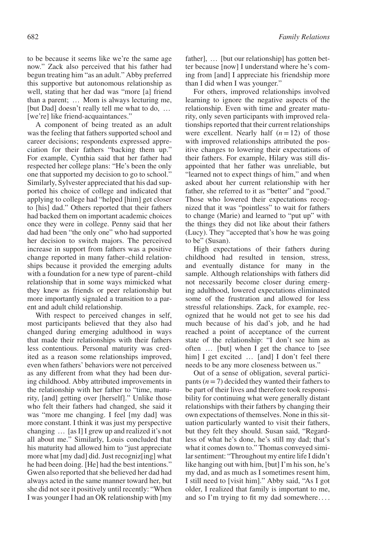to be because it seems like we're the same age now." Zack also perceived that his father had begun treating him "as an adult." Abby preferred this supportive but autonomous relationship as well, stating that her dad was "more [a] friend than a parent; … Mom is always lecturing me, [but Dad] doesn't really tell me what to do, ... [we're] like friend-acquaintances."

A component of being treated as an adult was the feeling that fathers supported school and career decisions; respondents expressed appreciation for their fathers "backing them up." For example, Cynthia said that her father had respected her college plans: "He's been the only one that supported my decision to go to school." Similarly, Sylvester appreciated that his dad supported his choice of college and indicated that applying to college had "helped [him] get closer to [his] dad." Others reported that their fathers had backed them on important academic choices once they were in college. Penny said that her dad had been "the only one" who had supported her decision to switch majors. The perceived increase in support from fathers was a positive change reported in many father–child relationships because it provided the emerging adults with a foundation for a new type of parent–child relationship that in some ways mimicked what they knew as friends or peer relationship but more importantly signaled a transition to a parent and adult child relationship.

With respect to perceived changes in self, most participants believed that they also had changed during emerging adulthood in ways that made their relationships with their fathers less contentious. Personal maturity was credited as a reason some relationships improved, even when fathers' behaviors were not perceived as any different from what they had been during childhood. Abby attributed improvements in the relationship with her father to "time, maturity, [and] getting over [herself]." Unlike those who felt their fathers had changed, she said it was "more me changing. I feel [my dad] was more constant. I think it was just my perspective changing … [as I] I grew up and realized it's not all about me." Similarly, Louis concluded that his maturity had allowed him to "just appreciate more what [my dad] did. Just recogniz[ing] what he had been doing. [He] had the best intentions." Gwen also reported that she believed her dad had always acted in the same manner toward her, but she did not see it positively until recently: "When I was younger I had an OK relationship with [my father], … [but our relationship] has gotten better because [now] I understand where he's coming from [and] I appreciate his friendship more than I did when I was younger."

For others, improved relationships involved learning to ignore the negative aspects of the relationship. Even with time and greater maturity, only seven participants with improved relationships reported that their current relationships were excellent. Nearly half  $(n=12)$  of those with improved relationships attributed the positive changes to lowering their expectations of their fathers. For example, Hilary was still disappointed that her father was unreliable, but "learned not to expect things of him," and when asked about her current relationship with her father, she referred to it as "better" and "good." Those who lowered their expectations recognized that it was "pointless" to wait for fathers to change (Marie) and learned to "put up" with the things they did not like about their fathers (Lucy). They "accepted that's how he was going to be" (Susan).

High expectations of their fathers during childhood had resulted in tension, stress, and eventually distance for many in the sample. Although relationships with fathers did not necessarily become closer during emerging adulthood, lowered expectations eliminated some of the frustration and allowed for less stressful relationships. Zack, for example, recognized that he would not get to see his dad much because of his dad's job, and he had reached a point of acceptance of the current state of the relationship: "I don't see him as often … [but] when I get the chance to [see him] I get excited ... [and] I don't feel there needs to be any more closeness between us."

Out of a sense of obligation, several participants  $(n=7)$  decided they wanted their fathers to be part of their lives and therefore took responsibility for continuing what were generally distant relationships with their fathers by changing their own expectations of themselves. None in this situation particularly wanted to visit their fathers, but they felt they should. Susan said, "Regardless of what he's done, he's still my dad; that's what it comes down to." Thomas conveyed similar sentiment: "Throughout my entire life I didn't like hanging out with him, [but] I'm his son, he's my dad, and as much as I sometimes resent him, I still need to [visit him]." Abby said, "As I got older, I realized that family is important to me, and so I'm trying to fit my dad somewhere....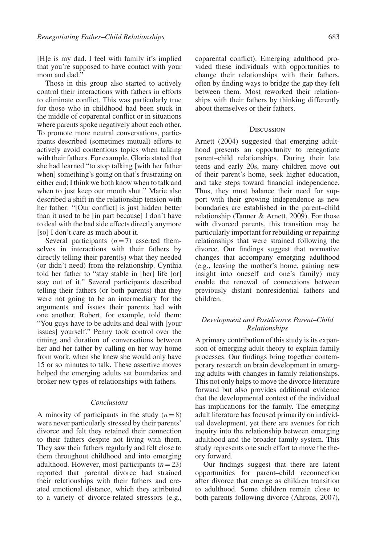[H]e is my dad. I feel with family it's implied that you're supposed to have contact with your mom and dad."

Those in this group also started to actively control their interactions with fathers in efforts to eliminate conflict. This was particularly true for those who in childhood had been stuck in the middle of coparental conflict or in situations where parents spoke negatively about each other. To promote more neutral conversations, participants described (sometimes mutual) efforts to actively avoid contentious topics when talking with their fathers. For example, Gloria stated that she had learned "to stop talking [with her father when] something's going on that's frustrating on either end; I think we both know when to talk and when to just keep our mouth shut." Marie also described a shift in the relationship tension with her father: "[Our conflict] is just hidden better than it used to be [in part because] I don't have to deal with the bad side effects directly anymore [so] I don't care as much about it.

Several participants  $(n=7)$  asserted themselves in interactions with their fathers by directly telling their parent(s) what they needed (or didn't need) from the relationship. Cynthia told her father to "stay stable in [her] life [or] stay out of it." Several participants described telling their fathers (or both parents) that they were not going to be an intermediary for the arguments and issues their parents had with one another. Robert, for example, told them: "You guys have to be adults and deal with [your issues] yourself." Penny took control over the timing and duration of conversations between her and her father by calling on her way home from work, when she knew she would only have 15 or so minutes to talk. These assertive moves helped the emerging adults set boundaries and broker new types of relationships with fathers.

# *Conclusions*

A minority of participants in the study  $(n=8)$ were never particularly stressed by their parents' divorce and felt they retained their connection to their fathers despite not living with them. They saw their fathers regularly and felt close to them throughout childhood and into emerging adulthood. However, most participants  $(n=23)$ reported that parental divorce had strained their relationships with their fathers and created emotional distance, which they attributed to a variety of divorce-related stressors (e.g., coparental conflict). Emerging adulthood provided these individuals with opportunities to

change their relationships with their fathers, often by finding ways to bridge the gap they felt between them. Most reworked their relationships with their fathers by thinking differently about themselves or their fathers.

# **DISCUSSION**

Arnett (2004) suggested that emerging adulthood presents an opportunity to renegotiate parent–child relationships. During their late teens and early 20s, many children move out of their parent's home, seek higher education, and take steps toward financial independence. Thus, they must balance their need for support with their growing independence as new boundaries are established in the parent–child relationship (Tanner & Arnett, 2009). For those with divorced parents, this transition may be particularly important for rebuilding or repairing relationships that were strained following the divorce. Our findings suggest that normative changes that accompany emerging adulthood (e.g., leaving the mother's home, gaining new insight into oneself and one's family) may enable the renewal of connections between previously distant nonresidential fathers and children.

# *Development and Postdivorce Parent–Child Relationships*

A primary contribution of this study is its expansion of emerging adult theory to explain family processes. Our findings bring together contemporary research on brain development in emerging adults with changes in family relationships. This not only helps to move the divorce literature forward but also provides additional evidence that the developmental context of the individual has implications for the family. The emerging adult literature has focused primarily on individual development, yet there are avenues for rich inquiry into the relationship between emerging adulthood and the broader family system. This study represents one such effort to move the theory forward.

Our findings suggest that there are latent opportunities for parent–child reconnection after divorce that emerge as children transition to adulthood. Some children remain close to both parents following divorce (Ahrons, 2007),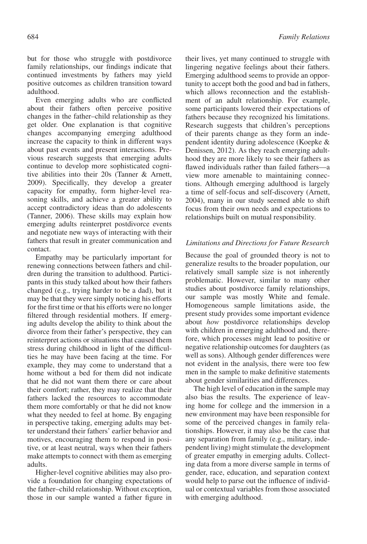but for those who struggle with postdivorce family relationships, our findings indicate that continued investments by fathers may yield positive outcomes as children transition toward adulthood.

Even emerging adults who are conflicted about their fathers often perceive positive changes in the father–child relationship as they get older. One explanation is that cognitive changes accompanying emerging adulthood increase the capacity to think in different ways about past events and present interactions. Previous research suggests that emerging adults continue to develop more sophisticated cognitive abilities into their 20s (Tanner & Arnett, 2009). Specifically, they develop a greater capacity for empathy, form higher-level reasoning skills, and achieve a greater ability to accept contradictory ideas than do adolescents (Tanner, 2006). These skills may explain how emerging adults reinterpret postdivorce events and negotiate new ways of interacting with their fathers that result in greater communication and contact.

Empathy may be particularly important for renewing connections between fathers and children during the transition to adulthood. Participants in this study talked about how their fathers changed (e.g., trying harder to be a dad), but it may be that they were simply noticing his efforts for the first time or that his efforts were no longer filtered through residential mothers. If emerging adults develop the ability to think about the divorce from their father's perspective, they can reinterpret actions or situations that caused them stress during childhood in light of the difficulties he may have been facing at the time. For example, they may come to understand that a home without a bed for them did not indicate that he did not want them there or care about their comfort; rather, they may realize that their fathers lacked the resources to accommodate them more comfortably or that he did not know what they needed to feel at home. By engaging in perspective taking, emerging adults may better understand their fathers' earlier behavior and motives, encouraging them to respond in positive, or at least neutral, ways when their fathers make attempts to connect with them as emerging adults.

Higher-level cognitive abilities may also provide a foundation for changing expectations of the father–child relationship. Without exception, those in our sample wanted a father figure in

their lives, yet many continued to struggle with lingering negative feelings about their fathers. Emerging adulthood seems to provide an opportunity to accept both the good and bad in fathers, which allows reconnection and the establishment of an adult relationship. For example, some participants lowered their expectations of fathers because they recognized his limitations. Research suggests that children's perceptions of their parents change as they form an independent identity during adolescence (Koepke & Denissen, 2012). As they reach emerging adulthood they are more likely to see their fathers as flawed individuals rather than failed fathers—a view more amenable to maintaining connections. Although emerging adulthood is largely a time of self-focus and self-discovery (Arnett, 2004), many in our study seemed able to shift focus from their own needs and expectations to relationships built on mutual responsibility.

# *Limitations and Directions for Future Research*

Because the goal of grounded theory is not to generalize results to the broader population, our relatively small sample size is not inherently problematic. However, similar to many other studies about postdivorce family relationships, our sample was mostly White and female. Homogeneous sample limitations aside, the present study provides some important evidence about *how* postdivorce relationships develop with children in emerging adulthood and, therefore, which processes might lead to positive or negative relationship outcomes for daughters (as well as sons). Although gender differences were not evident in the analysis, there were too few men in the sample to make definitive statements about gender similarities and differences.

The high level of education in the sample may also bias the results. The experience of leaving home for college and the immersion in a new environment may have been responsible for some of the perceived changes in family relationships. However, it may also be the case that any separation from family (e.g., military, independent living) might stimulate the development of greater empathy in emerging adults. Collecting data from a more diverse sample in terms of gender, race, education, and separation context would help to parse out the influence of individual or contextual variables from those associated with emerging adulthood.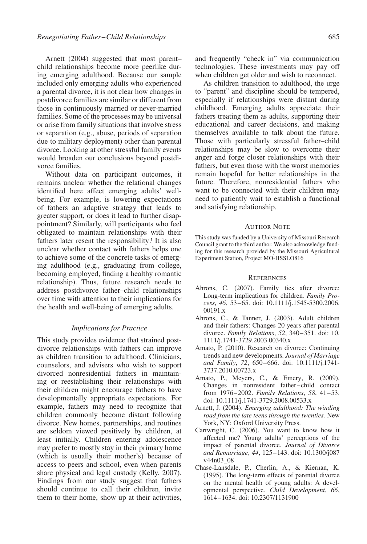Arnett (2004) suggested that most parent– child relationships become more peerlike during emerging adulthood. Because our sample included only emerging adults who experienced a parental divorce, it is not clear how changes in postdivorce families are similar or different from those in continuously married or never-married families. Some of the processes may be universal or arise from family situations that involve stress or separation (e.g., abuse, periods of separation due to military deployment) other than parental divorce. Looking at other stressful family events would broaden our conclusions beyond postdivorce families.

Without data on participant outcomes, it remains unclear whether the relational changes identified here affect emerging adults' wellbeing. For example, is lowering expectations of fathers an adaptive strategy that leads to greater support, or does it lead to further disappointment? Similarly, will participants who feel obligated to maintain relationships with their fathers later resent the responsibility? It is also unclear whether contact with fathers helps one to achieve some of the concrete tasks of emerging adulthood (e.g., graduating from college, becoming employed, finding a healthy romantic relationship). Thus, future research needs to address postdivorce father–child relationships over time with attention to their implications for the health and well-being of emerging adults.

#### *Implications for Practice*

This study provides evidence that strained postdivorce relationships with fathers can improve as children transition to adulthood. Clinicians, counselors, and advisers who wish to support divorced nonresidential fathers in maintaining or reestablishing their relationships with their children might encourage fathers to have developmentally appropriate expectations. For example, fathers may need to recognize that children commonly become distant following divorce. New homes, partnerships, and routines are seldom viewed positively by children, at least initially. Children entering adolescence may prefer to mostly stay in their primary home (which is usually their mother's) because of access to peers and school, even when parents share physical and legal custody (Kelly, 2007). Findings from our study suggest that fathers should continue to call their children, invite them to their home, show up at their activities,

and frequently "check in" via communication technologies. These investments may pay off when children get older and wish to reconnect.

As children transition to adulthood, the urge to "parent" and discipline should be tempered, especially if relationships were distant during childhood. Emerging adults appreciate their fathers treating them as adults, supporting their educational and career decisions, and making themselves available to talk about the future. Those with particularly stressful father–child relationships may be slow to overcome their anger and forge closer relationships with their fathers, but even those with the worst memories remain hopeful for better relationships in the future. Therefore, nonresidential fathers who want to be connected with their children may need to patiently wait to establish a functional and satisfying relationship.

#### **AUTHOR NOTE**

This study was funded by a University of Missouri Research Council grant to the third author. We also acknowledge funding for this research provided by the Missouri Agricultural Experiment Station, Project MO-HSSLO816

### **REFERENCES**

- Ahrons, C. (2007). Family ties after divorce: Long-term implications for children*. Family Process*, *46*, 53–65. doi: 10.1111/j.1545-5300.2006. 00191.x
- Ahrons, C., & Tanner, J. (2003). Adult children and their fathers: Changes 20 years after parental divorce. *Family Relations*, *52*, 340–351. doi: 10. 1111/j.1741-3729.2003.00340.x
- Amato, P. (2010). Research on divorce: Continuing trends and new developments. *Journal of Marriage and Family*, *72*, 650–666. doi: 10.1111/j.1741- 3737.2010.00723.x
- Amato, P., Meyers, C., & Emery, R. (2009). Changes in nonresident father–child contact from 1976–2002. *Family Relations*, *58*, 41–53. doi: 10.1111/j.1741-3729.2008.00533.x
- Arnett, J. (2004). *Emerging adulthood: The winding road from the late teens through the twenties.* New York, NY: Oxford University Press.
- Cartwright, C. (2006). You want to know how it affected me? Young adults' perceptions of the impact of parental divorce. *Journal of Divorce and Remarriage*, *44*, 125–143. doi: 10.1300/j087 v44n03\_08
- Chase-Lansdale, P., Cherlin, A., & Kiernan, K. (1995). The long-term effects of parental divorce on the mental health of young adults: A developmental perspective*. Child Development*, *66*, 1614–1634. doi: 10.2307/1131900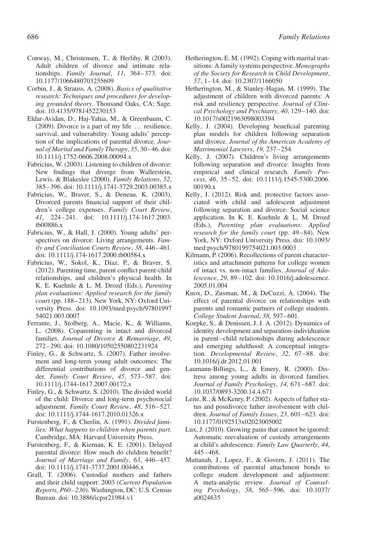- Conway, M., Christensen, T., & Herlihy, R (2003). Adult children of divorce and intimate relationships. *Family Journal*, *11*, 364–373. doi: 10.1177/1066480703255609
- Corbin, J., & Strauss, A. (2008). *Basics of qualitative research: Techniques and procedures for developing grounded theory*. Thousand Oaks, CA: Sage. doi: 10.4135/9781452230153
- Eldar-Avidan, D., Haj-Yahia, M., & Greenbaum, C. (2009). Divorce is a part of my life … resilience, survival, and vulnerability: Young adults' perception of the implications of parental divorce. *Journal of Marital and Family Therapy*, *35*, 30–46. doi: 10.1111/j.1752-0606.2008.00094.x
- Fabricius, W. (2003). Listening to children of divorce: New findings that diverge from Wallerstein, Lewis, & Blakeslee (2000). *Family Relations*, *52*, 385–396. doi: 10.1111/j.1741-3729.2003.00385.x
- Fabricius, W., Braver, S., & Deneau, K. (2003). Divorced parents financial support of their children's college expenses. *Family Court Review*, *41*, 224–241. doi: 10.1111/j.174-1617.2003. tb00886.x
- Fabricius, W., & Hall, J. (2000). Young adults' perspectives on divorce: Living arrangements. *Family and Conciliation Courts Review*, *38*, 446–461. doi: 10.1111/j.174-1617.2000.tb00584.x
- Fabricius, W., Sokol, K., Diaz, P., & Braver, S. (2012). Parenting time, parent conflict parent-child relationships, and children's physical health. In K. E. Kuehnle & L. M. Drozd (Eds.), *Parenting plan evaluations: Applied research for the family court* (pp. 188–213)*.* New York, NY: Oxford University Press. doi: 10.1093/med:psych/97801997 54021.003.0007
- Ferrante, J., Stolberg, A., Macie, K., & Williams, L. (2008). Coparenting in intact and divorced families. *Journal of Divorce & Remarriage*, *49*, 272–290. doi: 10.1080/10502550802231924
- Finley, G., & Schwartz, S. (2007). Father involvement and long-term young adult outcomes: The differential contributions of divorce and gender. *Family Court Review*, *45*, 573–587. doi: 10.1111/j.1744-1617.2007.00172.x
- Finley, G., & Schwartz, S. (2010). The divided world of the child: Divorce and long-term psychosocial adjustment. *Family Court Review*, *48*, 516–527. doi: 10.1111/j.1744-1617.2010.01326.x
- Furstenberg, F., & Cherlin, A. (1991). *Divided families: What happens to children when parents part.* Cambridge, MA: Harvard University Press.
- Furstenberg, F., & Kiernan, K. E. (2001). Delayed parental divorce: How much do children benefit? *Journal of Marriage and Family*, *63*, 446–457. doi: 10.1111/j.1741-3737.2001.00446.x
- Grall, T. (2006). Custodial mothers and fathers and their child support: 2003 *(Current Population Reports, P60–230)*. Washington, DC: U.S. Census Bureau. doi: 10.3886/icpsr21984.v1
- Hetherington, E. M. (1992). Coping with marital transitions: A family systems perspective. *Monographs of the Society for Research in Child Development*, *57*, 1–14. doi: 10.2307/1166050
- Hetherington, M., & Stanley-Hagan, M. (1999). The adjustment of children with divorced parents: A risk and resiliency perspective. *Journal of Clinical Psychology and Psychiatry*, *40*, 129–140. doi: 10.1017/s0021963098003394
- Kelly, J. (2004). Developing beneficial parenting plan models for children following separation and divorce. *Journal of the American Academy of Matrimonial Lawyers*, *19*, 237–254.
- Kelly, J. (2007). Children's living arrangements following separation and divorce: Insights from empirical and clinical research. *Family Process*, *46*, 35–52. doi: 10.1111/j.1545-5300.2006. 00190.x
- Kelly, J. (2012). Risk and, protective factors associated with child and adolescent adjustment following separation and divorce: Social science application. In K. E. Kuehnle & L. M. Drozd (Eds.), *Parenting plan evaluations: Applied research for the family court* (pp. 49–84)*.* New York, NY: Oxford University Press. doi: 10.1093/ med:psych/9780199754021.003.0003
- Kilmann, P. (2006). Recollections of parent characteristics and attachment patterns for college women of intact vs. non-intact families. *Journal of Adolescence*, *29*, 89–102. doi: 10.1016/j.adolescence. 2005.01.004
- Knox, D., Zusman, M., & DeCuzzi, A. (2004). The effect of parental divorce on relationships with parents and romantic partners of college students. *College Student Journal*, *38*, 597–601.
- Koepke, S., & Denissen, J. J. A. (2012). Dynamics of identity development and separation-individuation in parent–child relationships during adolescence and emerging adulthood: A conceptual integration. *Developmental Review*, *32*, 67–88. doi: 10.1016/j.dr.2012.01.001
- Laumann-Billings, L., & Emery, R. (2000). Distress among young adults in divorced families. *Journal of Family Psychology*, *14*, 671–687. doi: 10.1037/0893-3200.14.4.671
- Leite, R., & McKenry, P. (2002). Aspects of father status and postdivorce father involvement with children. *Journal of Family Issues*, *23*, 601–623. doi: 10.1177/0192513x02023005002
- Lux, J. (2010). Growing pains that cannot be ignored: Automatic reevaluation of custody arrangements at child's adolescence. *Family Law Quarterly*, *44*, 445–468.
- Mattanah, J., Lopez, F., & Govern, J. (2011). The contributions of parental attachment bonds to college student development and adjustment: A meta-analytic review. *Journal of Counseling Psychology*, *58*, 565–596. doi: 10.1037/ a0024635